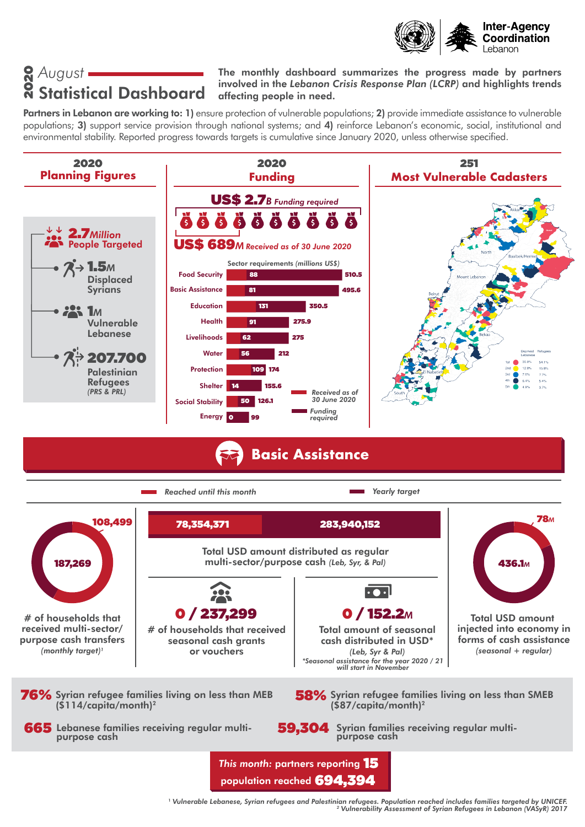

# *August* 2020 Statistical Dashboard

#### The monthly dashboard summarizes the progress made by partners involved in the *Lebanon Crisis Response Plan (LCRP)* and highlights trends affecting people in need.

Partners in Lebanon are working to: 1) ensure protection of vulnerable populations; 2) provide immediate assistance to vulnerable populations; 3) support service provision through national systems; and 4) reinforce Lebanon's economic, social, institutional and environmental stability. Reported progress towards targets is cumulative since January 2020, unless otherwise specified.



*Reached until this month Yearly target* 78*<sup>M</sup>* 108,499 283,940,152 78,354,371Total USD amount distributed as regular 187,269 multi-sector/purpose cash *(Leb, Syr, & Pal)* 436.1*<sup>M</sup>*  $\overline{\cdot \bullet \cdot}$ 0 / 237,299 0 / 152.2*<sup>M</sup>* # of households that Total USD amount received multi-sector/ # of households that received injected into economy in Total amount of seasonal purpose cash transfers cash distributed in USD\* forms of cash assistance seasonal cash grants *(monthly target)1* or vouchers *(seasonal + regular) (Leb, Syr & Pal) \*Seasonal assistance for the year 2020 / 21 will start in November* 76% Syrian refugee families living on less than MEB 58% Syrian refugee families living on less than SMEB  $( $\sin 14$ /capita/month)<sup>2</sup>$ (\$87/capita/month)2 665 Lebanese families receiving regular multi-59,304 Syrian families receiving regular multipurpose cash purpose cash *This month:* partners reporting 15 population reached 694,394

<sup>1</sup> *Vulnerable Lebanese, Syrian refugees and Palestinian refugees. Population reached includes families targeted by UNICEF. 2 Vulnerability Assessment of Syrian Refugees in Lebanon (VASyR) 2017*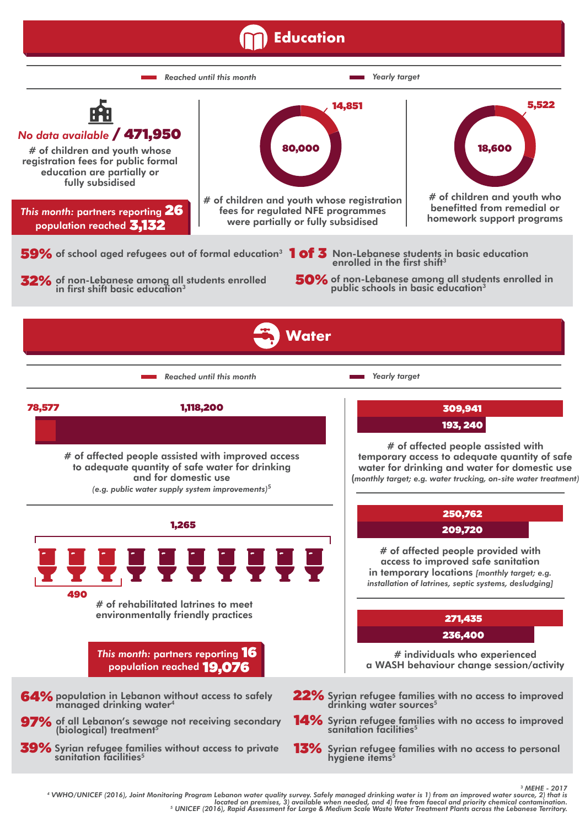#### **Education**



MEHE - 2017<br>WHO/UNICEF (2016), Joint Monitoring Program Lebanon water quality survey. Safely managed drinking water is 1) from an improved water source, 2) that is 1 (WHO/UNICEF (2016), loint Monitoring Program located on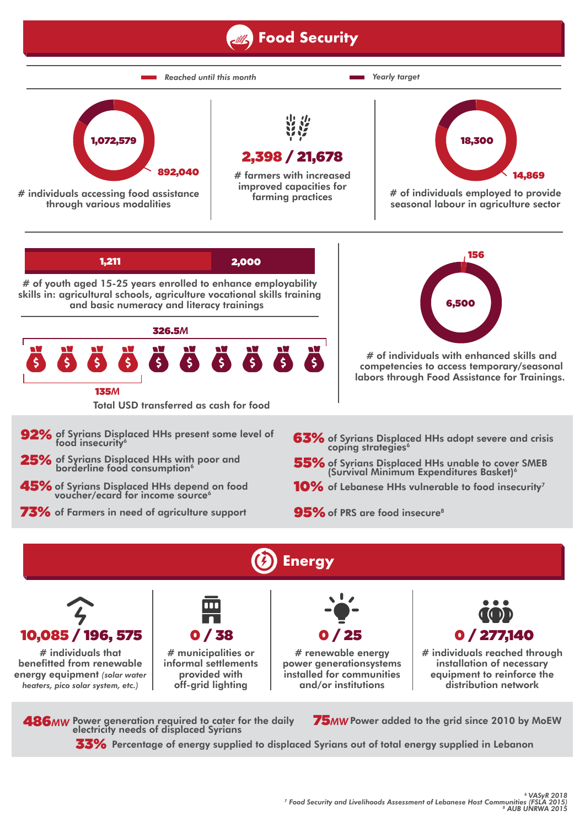### **Food Security**





# individuals that benefitted from renewable energy equipment *(solar water heaters, pico solar system, etc.)*



# municipalities or informal settlements provided with off-grid lighting

# renewable energy power generationsystems installed for communities and/or institutions

0 / 25



# individuals reached through installation of necessary equipment to reinforce the distribution network

486*MW* Power generation required to cater for the daily 75*MW* electricity needs of displaced Syrians

75MW Power added to the grid since 2010 by MoEW

 ${\bf 33\%}$  Percentage of energy supplied to displaced Syrians out of total energy supplied in Lebanon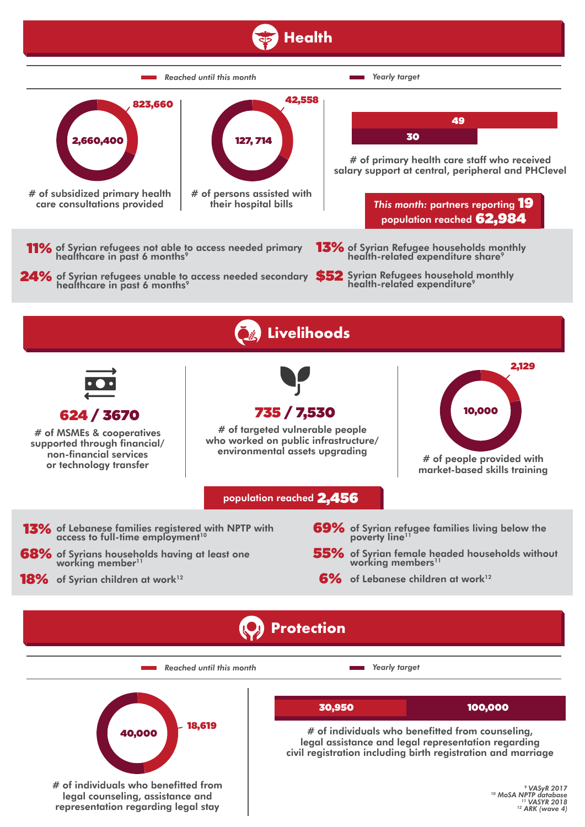## **Health**



*Reached until this month Yearly target*





# of individuals who benefitted from counseling, legal assistance and legal representation regarding civil registration including birth registration and marriage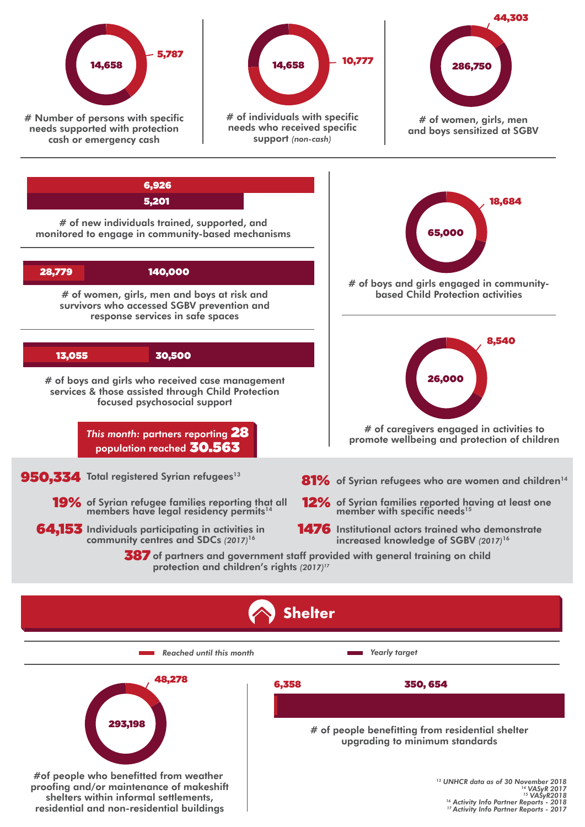